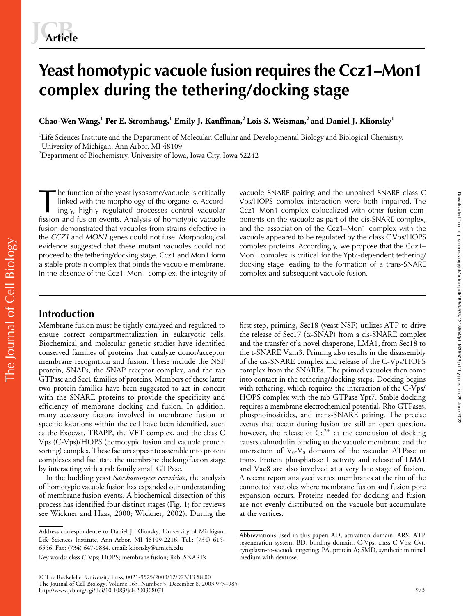# **Yeast homotypic vacuole fusion requires the Ccz1–Mon1 complex during the tethering/docking stage**

**Chao-Wen Wang,<sup>1</sup> Per E. Stromhaug,<sup>1</sup> Emily J. Kauffman,2 Lois S. Weisman,2 and Daniel J. Klionsky1**

<sup>1</sup>Life Sciences Institute and the Department of Molecular, Cellular and Developmental Biology and Biological Chemistry, University of Michigan, Ann Arbor, MI 48109

 $^2$ Department of Biochemistry, University of Iowa, Iowa City, Iowa 52242

he function of the yeast lysosome/vacuole is critically linked with the morphology of the organelle. Accordingly, highly regulated processes control vacuolar fission and fusion events. Analysis of homotypic vacuole fusion demonstrated that vacuoles from strains defective in the *CCZ1* and *MON1* genes could not fuse. Morphological evidence suggested that these mutant vacuoles could not proceed to the tethering/docking stage. Ccz1 and Mon1 form a stable protein complex that binds the vacuole membrane. In the absence of the Ccz1–Mon1 complex, the integrity of The function of the yeast lysosome/vacuole is critically vacuole SNARE pairing and the unpaired SNARE class C<br>linked with the morphology of the organelle. Accord-<br>ingly, highly regulated processes control vacuolar Ccz1–Mon

Vps/HOPS complex interaction were both impaired. The Ccz1–Mon1 complex colocalized with other fusion components on the vacuole as part of the cis-SNARE complex, and the association of the Ccz1–Mon1 complex with the vacuole appeared to be regulated by the class C Vps/HOPS complex proteins. Accordingly, we propose that the Ccz1– Mon1 complex is critical for the Ypt7-dependent tethering/ docking stage leading to the formation of a trans-SNARE complex and subsequent vacuole fusion.

# The Journal of Cell Biology The Journal of Cell Biology

# **Introduction**

Membrane fusion must be tightly catalyzed and regulated to ensure correct compartmentalization in eukaryotic cells. Biochemical and molecular genetic studies have identified conserved families of proteins that catalyze donor/acceptor membrane recognition and fusion. These include the NSF protein, SNAPs, the SNAP receptor complex, and the rab GTPase and Sec1 families of proteins. Members of these latter two protein families have been suggested to act in concert with the SNARE proteins to provide the specificity and efficiency of membrane docking and fusion. In addition, many accessory factors involved in membrane fusion at specific locations within the cell have been identified, such as the Exocyst, TRAPP, the VFT complex, and the class C Vps (C-Vps)/HOPS (homotypic fusion and vacuole protein sorting) complex. These factors appear to assemble into protein complexes and facilitate the membrane docking/fusion stage by interacting with a rab family small GTPase.

In the budding yeast *Saccharomyces cerevisiae*, the analysis of homotypic vacuole fusion has expanded our understanding of membrane fusion events. A biochemical dissection of this process has identified four distinct stages (Fig. 1; for reviews see Wickner and Haas, 2000; Wickner, 2002). During the

first step, priming, Sec18 (yeast NSF) utilizes ATP to drive the release of Sec17 ( $\alpha$ -SNAP) from a cis-SNARE complex and the transfer of a novel chaperone, LMA1, from Sec18 to the t-SNARE Vam3. Priming also results in the disassembly of the cis-SNARE complex and release of the C-Vps/HOPS complex from the SNAREs. The primed vacuoles then come into contact in the tethering/docking steps. Docking begins with tethering, which requires the interaction of the C-Vps/ HOPS complex with the rab GTPase Ypt7. Stable docking requires a membrane electrochemical potential, Rho GTPases, phosphoinositides, and trans-SNARE pairing. The precise events that occur during fusion are still an open question, however, the release of  $Ca^{2+}$  at the conclusion of docking causes calmodulin binding to the vacuole membrane and the interaction of  $V_0$ - $V_0$  domains of the vacuolar ATPase in trans. Protein phosphatase 1 activity and release of LMA1 and Vac8 are also involved at a very late stage of fusion. A recent report analyzed vertex membranes at the rim of the connected vacuoles where membrane fusion and fusion pore expansion occurs. Proteins needed for docking and fusion are not evenly distributed on the vacuole but accumulate at the vertices.

Address correspondence to Daniel J. Klionsky, University of Michigan, Life Sciences Institute, Ann Arbor, MI 48109-2216. Tel.: (734) 615- 6556. Fax: (734) 647-0884. email: klionsky@umich.edu

Key words: class C Vps; HOPS; membrane fusion; Rab; SNAREs

Abbreviations used in this paper: AD, activation domain; ARS, ATP regeneration system; BD, binding domain; C-Vps, class C Vps; Cvt, cytoplasm-to-vacuole targeting; PA, protein A; SMD, synthetic minimal medium with dextrose.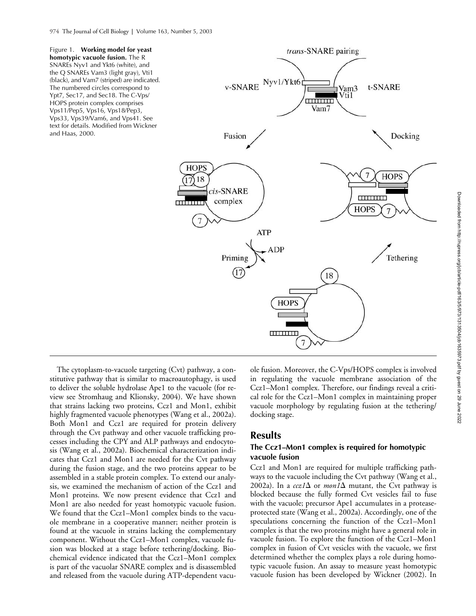Figure 1. **Working model for yeast homotypic vacuole fusion.** The R SNAREs Nyv1 and Ykt6 (white), and the Q SNAREs Vam3 (light gray), Vti1 (black), and Vam7 (striped) are indicated. The numbered circles correspond to Ypt7, Sec17, and Sec18. The C-Vps/ HOPS protein complex comprises Vps11/Pep5, Vps16, Vps18/Pep3, Vps33, Vps39/Vam6, and Vps41. See text for details. Modified from Wickner and Haas, 2000.



The cytoplasm-to-vacuole targeting (Cvt) pathway, a constitutive pathway that is similar to macroautophagy, is used to deliver the soluble hydrolase Ape1 to the vacuole (for review see Stromhaug and Klionsky, 2004). We have shown that strains lacking two proteins, Ccz1 and Mon1, exhibit highly fragmented vacuole phenotypes (Wang et al., 2002a). Both Mon1 and Ccz1 are required for protein delivery through the Cvt pathway and other vacuole trafficking processes including the CPY and ALP pathways and endocytosis (Wang et al., 2002a). Biochemical characterization indicates that Ccz1 and Mon1 are needed for the Cvt pathway during the fusion stage, and the two proteins appear to be assembled in a stable protein complex. To extend our analysis, we examined the mechanism of action of the Ccz1 and Mon1 proteins. We now present evidence that Ccz1 and Mon1 are also needed for yeast homotypic vacuole fusion. We found that the Ccz1–Mon1 complex binds to the vacuole membrane in a cooperative manner; neither protein is found at the vacuole in strains lacking the complementary component. Without the Ccz1–Mon1 complex, vacuole fusion was blocked at a stage before tethering/docking. Biochemical evidence indicated that the Ccz1–Mon1 complex is part of the vacuolar SNARE complex and is disassembled and released from the vacuole during ATP-dependent vacuole fusion. Moreover, the C-Vps/HOPS complex is involved in regulating the vacuole membrane association of the Ccz1–Mon1 complex. Therefore, our findings reveal a critical role for the Ccz1–Mon1 complex in maintaining proper vacuole morphology by regulating fusion at the tethering/ docking stage.

# **Results**

### **The Ccz1–Mon1 complex is required for homotypic vacuole fusion**

Ccz1 and Mon1 are required for multiple trafficking pathways to the vacuole including the Cvt pathway (Wang et al., 2002a). In a  $ccz1\Delta$  or *mon*  $1\Delta$  mutant, the Cvt pathway is blocked because the fully formed Cvt vesicles fail to fuse with the vacuole; precursor Ape1 accumulates in a proteaseprotected state (Wang et al., 2002a). Accordingly, one of the speculations concerning the function of the Ccz1–Mon1 complex is that the two proteins might have a general role in vacuole fusion. To explore the function of the Ccz1–Mon1 complex in fusion of Cvt vesicles with the vacuole, we first determined whether the complex plays a role during homotypic vacuole fusion. An assay to measure yeast homotypic vacuole fusion has been developed by Wickner (2002). In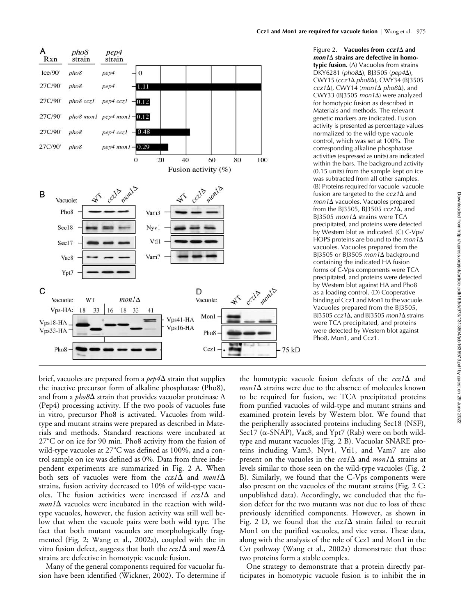

Figure 2. **Vacuoles from** *ccz1* **and**  *mon1* **strains are defective in homotypic fusion.** (A) Vacuoles from strains DKY6281 (*pho8*), BJ3505 (*pep4*), CWY15 (*ccz1 pho8*), CWY34 (BJ3505 *ccz1*), CWY14 (*mon1 pho8*), and CWY33 (BJ3505  $mon1\Delta$ ) were analyzed for homotypic fusion as described in Materials and methods. The relevant genetic markers are indicated. Fusion activity is presented as percentage values normalized to the wild-type vacuole control, which was set at 100%. The corresponding alkaline phosphatase activities (expressed as units) are indicated within the bars. The background activity (0.15 units) from the sample kept on ice was subtracted from all other samples. (B) Proteins required for vacuole–vacuole fusion are targeted to the  $ccz1\Delta$  and *mon1* vacuoles. Vacuoles prepared from the BJ3505, BJ3505 *ccz1*, and BJ3505 *mon1* $\Delta$  strains were TCA precipitated, and proteins were detected by Western blot as indicated. (C) C-Vps/ HOPS proteins are bound to the *mon1*<sup> $\Delta$ </sup> vacuoles. Vacuoles prepared from the BJ3505 or BJ3505 *mon1*<sup>A</sup> background containing the indicated HA fusion forms of C-Vps components were TCA precipitated, and proteins were detected by Western blot against HA and Pho8 as a loading control. (D) Cooperative binding of Ccz1 and Mon1 to the vacuole. Vacuoles prepared from the BJ3505, BJ3505  $ccz1\Delta$ , and BJ3505 *mon1* $\Delta$  strains were TCA precipitated, and proteins were detected by Western blot against Pho8, Mon1, and Ccz1.

brief, vacuoles are prepared from a  $pep4\Delta$  strain that supplies the inactive precursor form of alkaline phosphatase (Pho8), and from a  $pho8\Delta$  strain that provides vacuolar proteinase A (Pep4) processing activity. If the two pools of vacuoles fuse in vitro, precursor Pho8 is activated. Vacuoles from wildtype and mutant strains were prepared as described in Materials and methods. Standard reactions were incubated at  $27^{\circ}$ C or on ice for 90 min. Pho8 activity from the fusion of wild-type vacuoles at  $27^{\circ}$ C was defined as 100%, and a control sample on ice was defined as 0%. Data from three independent experiments are summarized in Fig. 2 A. When both sets of vacuoles were from the  $ccz1\Delta$  and  $mon1\Delta$ strains, fusion activity decreased to 10% of wild-type vacuoles. The fusion activities were increased if  $ccz1\Delta$  and  $mon1\Delta$  vacuoles were incubated in the reaction with wildtype vacuoles, however, the fusion activity was still well below that when the vacuole pairs were both wild type. The fact that both mutant vacuoles are morphologically fragmented (Fig. 2; Wang et al., 2002a), coupled with the in vitro fusion defect, suggests that both the  $ccz1\Delta$  and  $mon1\Delta$ strains are defective in homotypic vacuole fusion.

Many of the general components required for vacuolar fusion have been identified (Wickner, 2002). To determine if the homotypic vacuole fusion defects of the  $ccz1\Delta$  and  $mon1\Delta$  strains were due to the absence of molecules known to be required for fusion, we TCA precipitated proteins from purified vacuoles of wild-type and mutant strains and examined protein levels by Western blot. We found that the peripherally associated proteins including Sec18 (NSF), Sec17 (α-SNAP), Vac8, and Ypt7 (Rab) were on both wildtype and mutant vacuoles (Fig. 2 B). Vacuolar SNARE proteins including Vam3, Nyv1, Vti1, and Vam7 are also present on the vacuoles in the  $ccz1\Delta$  and  $mon1\Delta$  strains at levels similar to those seen on the wild-type vacuoles (Fig. 2 B). Similarly, we found that the C-Vps components were also present on the vacuoles of the mutant strains (Fig. 2 C; unpublished data). Accordingly, we concluded that the fusion defect for the two mutants was not due to loss of these previously identified components. However, as shown in Fig. 2 D, we found that the  $ccz/\Delta$  strain failed to recruit Mon1 on the purified vacuoles, and vice versa. These data, along with the analysis of the role of Ccz1 and Mon1 in the Cvt pathway (Wang et al., 2002a) demonstrate that these two proteins form a stable complex.

One strategy to demonstrate that a protein directly participates in homotypic vacuole fusion is to inhibit the in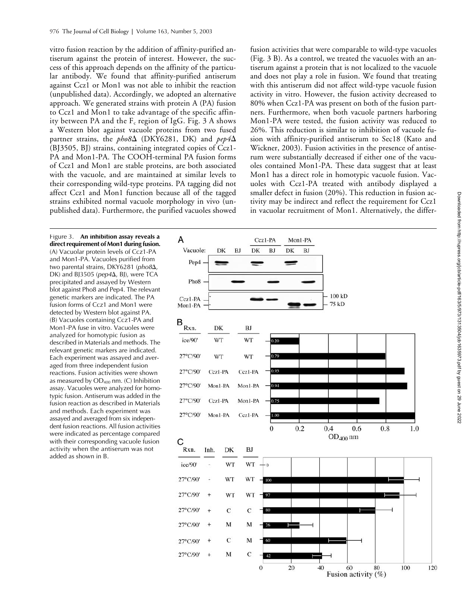vitro fusion reaction by the addition of affinity-purified antiserum against the protein of interest. However, the success of this approach depends on the affinity of the particular antibody. We found that affinity-purified antiserum against Ccz1 or Mon1 was not able to inhibit the reaction (unpublished data). Accordingly, we adopted an alternative approach. We generated strains with protein A (PA) fusion to Ccz1 and Mon1 to take advantage of the specific affinity between PA and the  $F_c$  region of IgG. Fig. 3 A shows a Western blot against vacuole proteins from two fused partner strains, the  $pho8\Delta$  (DKY6281, DK) and  $pep4\Delta$ (BJ3505, BJ) strains, containing integrated copies of Ccz1- PA and Mon1-PA. The COOH-terminal PA fusion forms of Ccz1 and Mon1 are stable proteins, are both associated with the vacuole, and are maintained at similar levels to their corresponding wild-type proteins. PA tagging did not affect Ccz1 and Mon1 function because all of the tagged strains exhibited normal vacuole morphology in vivo (unpublished data). Furthermore, the purified vacuoles showed

fusion activities that were comparable to wild-type vacuoles (Fig. 3 B). As a control, we treated the vacuoles with an antiserum against a protein that is not localized to the vacuole and does not play a role in fusion. We found that treating with this antiserum did not affect wild-type vacuole fusion activity in vitro. However, the fusion activity decreased to 80% when Ccz1-PA was present on both of the fusion partners. Furthermore, when both vacuole partners harboring Mon1-PA were tested, the fusion activity was reduced to 26%. This reduction is similar to inhibition of vacuole fusion with affinity-purified antiserum to Sec18 (Kato and Wickner, 2003). Fusion activities in the presence of antiserum were substantially decreased if either one of the vacuoles contained Mon1-PA. These data suggest that at least Mon1 has a direct role in homotypic vacuole fusion. Vacuoles with Ccz1-PA treated with antibody displayed a smaller defect in fusion (20%). This reduction in fusion activity may be indirect and reflect the requirement for Ccz1 in vacuolar recruitment of Mon1. Alternatively, the differ-

Figure 3. **An inhibition assay reveals a direct requirement of Mon1 during fusion.** (A) Vacuolar protein levels of Ccz1-PA and Mon1-PA. Vacuoles purified from two parental strains, DKY6281 (pho8 $\Delta$ ) DK) and BJ3505 ( $pep4\Delta$ , BJ), were TCA precipitated and assayed by Western blot against Pho8 and Pep4. The relevant genetic markers are indicated. The PA fusion forms of Ccz1 and Mon1 were detected by Western blot against PA. (B) Vacuoles containing Ccz1-PA and Mon1-PA fuse in vitro. Vacuoles were analyzed for homotypic fusion as described in Materials and methods. The relevant genetic markers are indicated. Each experiment was assayed and averaged from three independent fusion reactions. Fusion activities were shown as measured by  $OD_{400}$  nm. (C) Inhibition assay. Vacuoles were analyzed for homotypic fusion. Antiserum was added in the fusion reaction as described in Materials and methods. Each experiment was assayed and averaged from six independent fusion reactions. All fusion activities were indicated as percentage compared with their corresponding vacuole fusion activity when the antiserum was not added as shown in B.

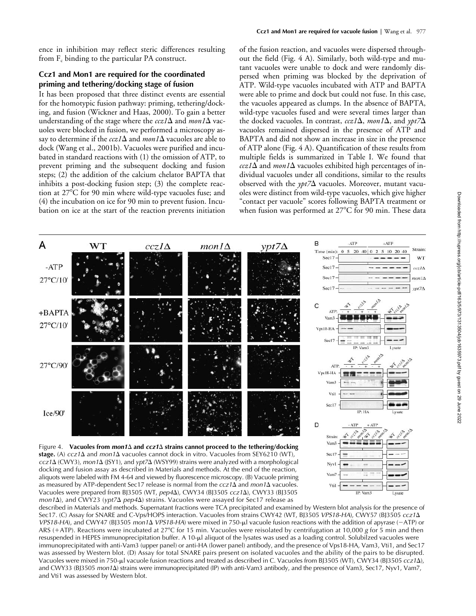ence in inhibition may reflect steric differences resulting from  $F_c$  binding to the particular PA construct.

### **Ccz1 and Mon1 are required for the coordinated priming and tethering/docking stage of fusion**

It has been proposed that three distinct events are essential for the homotypic fusion pathway: priming, tethering/docking, and fusion (Wickner and Haas, 2000). To gain a better understanding of the stage where the  $ccz/(\Delta)$  and  $m\omega/(\Delta)$  vacuoles were blocked in fusion, we performed a microscopy assay to determine if the  $ccz1\Delta$  and  $mon1\Delta$  vacuoles are able to dock (Wang et al., 2001b). Vacuoles were purified and incubated in standard reactions with (1) the omission of ATP, to prevent priming and the subsequent docking and fusion steps; (2) the addition of the calcium chelator BAPTA that inhibits a post-docking fusion step; (3) the complete reaction at 27°C for 90 min where wild-type vacuoles fuse; and (4) the incubation on ice for 90 min to prevent fusion. Incubation on ice at the start of the reaction prevents initiation

of the fusion reaction, and vacuoles were dispersed throughout the field (Fig. 4 A). Similarly, both wild-type and mutant vacuoles were unable to dock and were randomly dispersed when priming was blocked by the deprivation of ATP. Wild-type vacuoles incubated with ATP and BAPTA were able to prime and dock but could not fuse. In this case, the vacuoles appeared as clumps. In the absence of BAPTA, wild-type vacuoles fused and were several times larger than the docked vacuoles. In contrast,  $ccz1\Delta$ , *mon1* $\Delta$ , and  $\gamma pt\overline{z}\Delta$ vacuoles remained dispersed in the presence of ATP and BAPTA and did not show an increase in size in the presence of ATP alone (Fig. 4 A). Quantification of these results from multiple fields is summarized in Table I. We found that  $ccz1\Delta$  and *mon1* $\Delta$  vacuoles exhibited high percentages of individual vacuoles under all conditions, similar to the results observed with the  $\gamma pt/\Delta$  vacuoles. Moreover, mutant vacuoles were distinct from wild-type vacuoles, which give higher "contact per vacuole" scores following BAPTA treatment or when fusion was performed at  $27^{\circ}$ C for 90 min. These data



docking and fusion assay as described in Materials and methods. At the end of the reaction, aliquots were labeled with FM 4-64 and viewed by fluorescence microscopy. (B) Vacuole priming as measured by ATP-dependent Sec17 release is normal from the  $ccz1\Delta$  and  $mon1\Delta$  vacuoles. Vacuoles were prepared from BJ3505 (WT,  $pep4\Delta$ ), CWY34 (BJ3505 *ccz1* $\Delta$ ), CWY33 (BJ3505 *mon1* $\Delta$ ), and CWY23 (*ypt7* $\Delta$  *pep4* $\Delta$ ) strains. Vacuoles were assayed for Sec17 release as

Vam Vti1

Vam3

Lysate

described in Materials and methods. Supernatant fractions were TCA precipitated and examined by Western blot analysis for the presence of Sec17. (C) Assay for SNARE and C-Vps/HOPS interaction. Vacuoles from strains CWY42 (WT, BJ3505 *VPS18-HA*), CWY57 (BJ3505 *ccz1 VPS18-HA*), and CWY47 (BJ3505 *mon1*  $\Delta$  *VPS18-HA*) were mixed in 750-µl vacuole fusion reactions with the addition of apyrase (-ATP) or ARS (+ATP). Reactions were incubated at 27°C for 15 min. Vacuoles were reisolated by centrifugation at 10,000 *g* for 5 min and then resuspended in HEPES immunoprecipitation buffer. A 10-µl aliquot of the lysates was used as a loading control. Solubilzed vacuoles were immunoprecipitated with anti-Vam3 (upper panel) or anti-HA (lower panel) antibody, and the presence of Vps18-HA, Vam3, Vti1, and Sec17 was assessed by Western blot. (D) Assay for total SNARE pairs present on isolated vacuoles and the ability of the pairs to be disrupted. Vacuoles were mixed in 750-µl vacuole fusion reactions and treated as described in C. Vacuoles from BJ3505 (WT), CWY34 (BJ3505 *ccz1* $\Delta$ ), and CWY33 (BJ3505 *mon1*Δ) strains were immunoprecipitated (IP) with anti-Vam3 antibody, and the presence of Vam3, Sec17, Nyv1, Vam7, and Vti1 was assessed by Western blot.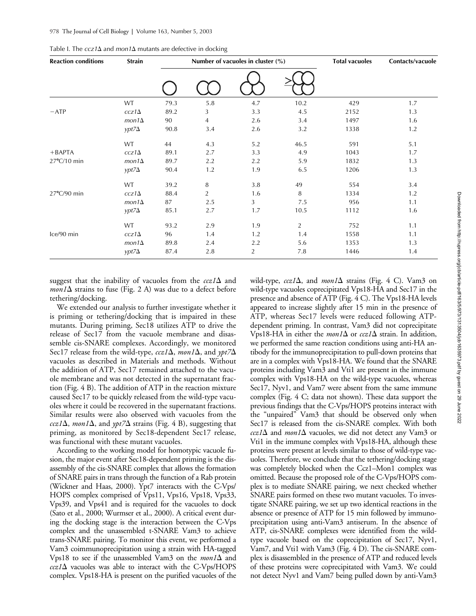| <b>Reaction conditions</b> | <b>Strain</b> | Number of vacuoles in cluster (%) |     |     |                | <b>Total vacuoles</b> | Contacts/vacuole |
|----------------------------|---------------|-----------------------------------|-----|-----|----------------|-----------------------|------------------|
|                            |               |                                   |     |     |                |                       |                  |
|                            | <b>WT</b>     | 79.3                              | 5.8 | 4.7 | 10.2           | 429                   | 1.7              |
| $-ATP$                     | $ccz1\Delta$  | 89.2                              | 3   | 3.3 | 4.5            | 2152                  | 1.3              |
|                            | $mon1\Delta$  | 90                                | 4   | 2.6 | 3.4            | 1497                  | 1.6              |
|                            | $ypt7\Delta$  | 90.8                              | 3.4 | 2.6 | 3.2            | 1338                  | 1.2              |
|                            | WT            | 44                                | 4.3 | 5.2 | 46.5           | 591                   | 5.1              |
| $+BAPTA$                   | $ccz1\Delta$  | 89.1                              | 2.7 | 3.3 | 4.9            | 1043                  | 1.7              |
| 27°C/10 min                | $mon1\Delta$  | 89.7                              | 2.2 | 2.2 | 5.9            | 1832                  | 1.3              |
|                            | $ypt7\Delta$  | 90.4                              | 1.2 | 1.9 | 6.5            | 1206                  | 1.3              |
|                            | <b>WT</b>     | 39.2                              | 8   | 3.8 | 49             | 554                   | 3.4              |
| $27^{\circ}$ C/90 min      | $ccz1\Delta$  | 88.4                              | 2   | 1.6 | 8              | 1334                  | 1.2              |
|                            | $mon1\Delta$  | 87                                | 2.5 | 3   | 7.5            | 956                   | 1.1              |
|                            | $ypt7\Delta$  | 85.1                              | 2.7 | 1.7 | 10.5           | 1112                  | 1.6              |
|                            | WT            | 93.2                              | 2.9 | 1.9 | $\overline{2}$ | 752                   | 1.1              |
| Ice/90 min                 | $ccz1\Delta$  | 96                                | 1.4 | 1.2 | 1.4            | 1558                  | 1.1              |
|                            | $mon1\Delta$  | 89.8                              | 2.4 | 2.2 | 5.6            | 1353                  | 1.3              |
|                            | $ypt7\Delta$  | 87.4                              | 2.8 | 2   | 7.8            | 1446                  | 1.4              |

| Table I. The $ccz1\Delta$ and mon1 $\Delta$ mutants are defective in docking |  |  |  |
|------------------------------------------------------------------------------|--|--|--|
|------------------------------------------------------------------------------|--|--|--|

suggest that the inability of vacuoles from the  $ccz1\Delta$  and  $mon1\Delta$  strains to fuse (Fig. 2 A) was due to a defect before tethering/docking.

We extended our analysis to further investigate whether it is priming or tethering/docking that is impaired in these mutants. During priming, Sec18 utilizes ATP to drive the release of Sec17 from the vacuole membrane and disassemble cis-SNARE complexes. Accordingly, we monitored Sec17 release from the wild-type,  $ccz1\Delta$ , mon1 $\Delta$ , and  $\gamma pt7\Delta$ vacuoles as described in Materials and methods. Without the addition of ATP, Sec17 remained attached to the vacuole membrane and was not detected in the supernatant fraction (Fig. 4 B). The addition of ATP in the reaction mixture caused Sec17 to be quickly released from the wild-type vacuoles where it could be recovered in the supernatant fractions. Similar results were also observed with vacuoles from the  $ccz1\Delta$ , *mon1* $\Delta$ , and  $ypt7\Delta$  strains (Fig. 4 B), suggesting that priming, as monitored by Sec18-dependent Sec17 release, was functional with these mutant vacuoles.

According to the working model for homotypic vacuole fusion, the major event after Sec18-dependent priming is the disassembly of the cis-SNARE complex that allows the formation of SNARE pairs in trans through the function of a Rab protein (Wickner and Haas, 2000). Ypt7 interacts with the C-Vps/ HOPS complex comprised of Vps11, Vps16, Vps18, Vps33, Vps39, and Vps41 and is required for the vacuoles to dock (Sato et al., 2000; Wurmser et al., 2000). A critical event during the docking stage is the interaction between the C-Vps complex and the unassembled t-SNARE Vam3 to achieve trans-SNARE pairing. To monitor this event, we performed a Vam3 coimmunoprecipitation using a strain with HA-tagged Vps18 to see if the unassembled Vam3 on the  $mon1\Delta$  and  $ccz1\Delta$  vacuoles was able to interact with the C-Vps/HOPS complex. Vps18-HA is present on the purified vacuoles of the

wild-type,  $ccz1\Delta$ , and  $mon1\Delta$  strains (Fig. 4 C). Vam3 on wild-type vacuoles coprecipitated Vps18-HA and Sec17 in the presence and absence of ATP (Fig. 4 C). The Vps18-HA levels appeared to increase slightly after 15 min in the presence of ATP, whereas Sec17 levels were reduced following ATPdependent priming. In contrast, Vam3 did not coprecipitate Vps18-HA in either the *mon1* $\Delta$  or *ccz1* $\Delta$  strain. In addition, we performed the same reaction conditions using anti-HA antibody for the immunoprecipitation to pull-down proteins that are in a complex with Vps18-HA. We found that the SNARE proteins including Vam3 and Vti1 are present in the immune complex with Vps18-HA on the wild-type vacuoles, whereas Sec17, Nyv1, and Vam7 were absent from the same immune complex (Fig. 4 C; data not shown). These data support the previous findings that the C-Vps/HOPS proteins interact with the "unpaired" Vam3 that should be observed only when Sec17 is released from the cis-SNARE complex. With both  $ccz1\Delta$  and *mon1* $\Delta$  vacuoles, we did not detect any Vam3 or Vti1 in the immune complex with Vps18-HA, although these proteins were present at levels similar to those of wild-type vacuoles. Therefore, we conclude that the tethering/docking stage was completely blocked when the Ccz1–Mon1 complex was omitted. Because the proposed role of the C-Vps/HOPS complex is to mediate SNARE pairing, we next checked whether SNARE pairs formed on these two mutant vacuoles. To investigate SNARE pairing, we set up two identical reactions in the absence or presence of ATP for 15 min followed by immunoprecipitation using anti-Vam3 antiserum. In the absence of ATP, cis-SNARE complexes were identified from the wildtype vacuole based on the coprecipitation of Sec17, Nyv1, Vam7, and Vti1 with Vam3 (Fig. 4 D). The cis-SNARE complex is disassembled in the presence of ATP and reduced levels of these proteins were coprecipitated with Vam3. We could not detect Nyv1 and Vam7 being pulled down by anti-Vam3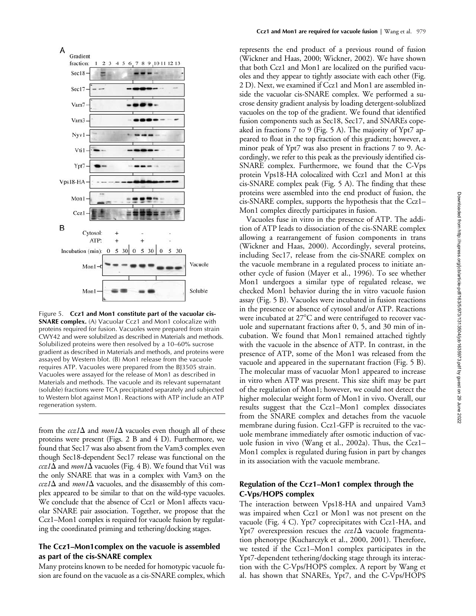

Figure 5. **Ccz1 and Mon1 constitute part of the vacuolar cis-SNARE complex.** (A) Vacuolar Ccz1 and Mon1 colocalize with proteins required for fusion. Vacuoles were prepared from strain CWY42 and were solubilzed as described in Materials and methods. Solubilized proteins were then resolved by a 10–60% sucrose gradient as described in Materials and methods, and proteins were assayed by Western blot. (B) Mon1 release from the vacuole requires ATP. Vacuoles were prepared from the BJ3505 strain. Vacuoles were assayed for the release of Mon1 as described in Materials and methods. The vacuole and its relevant supernatant (soluble) fractions were TCA precipitated separately and subjected to Western blot against Mon1. Reactions with ATP include an ATP regeneration system.

from the  $ccz1\Delta$  and *mon1* $\Delta$  vacuoles even though all of these proteins were present (Figs. 2 B and 4 D). Furthermore, we found that Sec17 was also absent from the Vam3 complex even though Sec18-dependent Sec17 release was functional on the  $ccz1\Delta$  and  $mon1\Delta$  vacuoles (Fig. 4 B). We found that Vti1 was the only SNARE that was in a complex with Vam3 on the  $ccz1\Delta$  and *mon1* $\Delta$  vacuoles, and the disassembly of this complex appeared to be similar to that on the wild-type vacuoles. We conclude that the absence of Ccz1 or Mon1 affects vacuolar SNARE pair association. Together, we propose that the Ccz1–Mon1 complex is required for vacuole fusion by regulating the coordinated priming and tethering/docking stages.

#### **The Ccz1–Mon1complex on the vacuole is assembled as part of the cis-SNARE complex**

Many proteins known to be needed for homotypic vacuole fusion are found on the vacuole as a cis-SNARE complex, which

represents the end product of a previous round of fusion (Wickner and Haas, 2000; Wickner, 2002). We have shown that both Ccz1 and Mon1 are localized on the purified vacuoles and they appear to tightly associate with each other (Fig. 2 D). Next, we examined if Ccz1 and Mon1 are assembled inside the vacuolar cis-SNARE complex. We performed a sucrose density gradient analysis by loading detergent-solublized vacuoles on the top of the gradient. We found that identified fusion components such as Sec18, Sec17, and SNAREs copeaked in fractions 7 to 9 (Fig. 5 A). The majority of Ypt7 appeared to float in the top fraction of this gradient; however, a minor peak of Ypt7 was also present in fractions 7 to 9. Accordingly, we refer to this peak as the previously identified cis-SNARE complex. Furthermore, we found that the C-Vps protein Vps18-HA colocalized with Ccz1 and Mon1 at this cis-SNARE complex peak (Fig. 5 A). The finding that these proteins were assembled into the end product of fusion, the cis-SNARE complex, supports the hypothesis that the Ccz1– Mon1 complex directly participates in fusion.

Vacuoles fuse in vitro in the presence of ATP. The addition of ATP leads to dissociation of the cis-SNARE complex allowing a rearrangement of fusion components in trans (Wickner and Haas, 2000). Accordingly, several proteins, including Sec17, release from the cis-SNARE complex on the vacuole membrane in a regulated process to initiate another cycle of fusion (Mayer et al., 1996). To see whether Mon1 undergoes a similar type of regulated release, we checked Mon1 behavior during the in vitro vacuole fusion assay (Fig. 5 B). Vacuoles were incubated in fusion reactions in the presence or absence of cytosol and/or ATP. Reactions were incubated at  $27^{\circ}$ C and were centrifuged to recover vacuole and supernatant fractions after 0, 5, and 30 min of incubation. We found that Mon1 remained attached tightly with the vacuole in the absence of ATP. In contrast, in the presence of ATP, some of the Mon1 was released from the vacuole and appeared in the supernatant fraction (Fig. 5 B). The molecular mass of vacuolar Mon1 appeared to increase in vitro when ATP was present. This size shift may be part of the regulation of Mon1; however, we could not detect the higher molecular weight form of Mon1 in vivo. Overall, our results suggest that the Ccz1–Mon1 complex dissociates from the SNARE complex and detaches from the vacuole membrane during fusion. Ccz1-GFP is recruited to the vacuole membrane immediately after osmotic induction of vacuole fusion in vivo (Wang et al., 2002a). Thus, the Ccz1– Mon1 complex is regulated during fusion in part by changes in its association with the vacuole membrane.

#### **Regulation of the Ccz1–Mon1 complex through the C-Vps/HOPS complex**

The interaction between Vps18-HA and unpaired Vam3 was impaired when Ccz1 or Mon1 was not present on the vacuole (Fig. 4 C). Ypt7 coprecipitates with Ccz1-HA, and Ypt7 overexpression rescues the  $ccz1\Delta$  vacuole fragmentation phenotype (Kucharczyk et al., 2000, 2001). Therefore, we tested if the Ccz1–Mon1 complex participates in the Ypt7-dependent tethering/docking stage through its interaction with the C-Vps/HOPS complex. A report by Wang et al. has shown that SNAREs, Ypt7, and the C-Vps/HOPS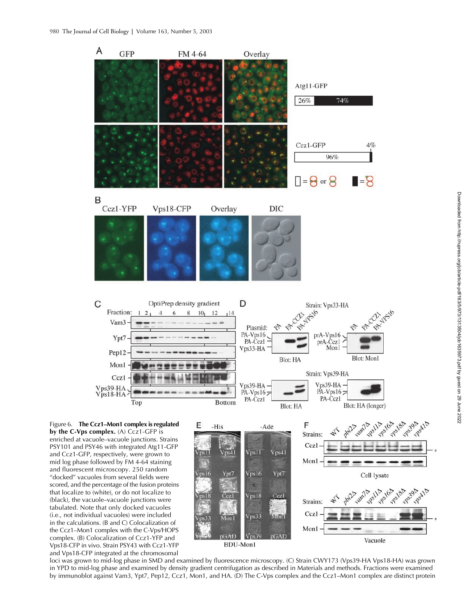

loci was grown to mid-log phase in SMD and examined by fluorescence microscopy. (C) Strain CWY173 (Vps39-HA Vps18-HA) was grown in YPD to mid-log phase and examined by density gradient centrifugation as described in Materials and methods. Fractions were examined by immunoblot against Vam3, Ypt7, Pep12, Ccz1, Mon1, and HA. (D) The C-Vps complex and the Ccz1–Mon1 complex are distinct protein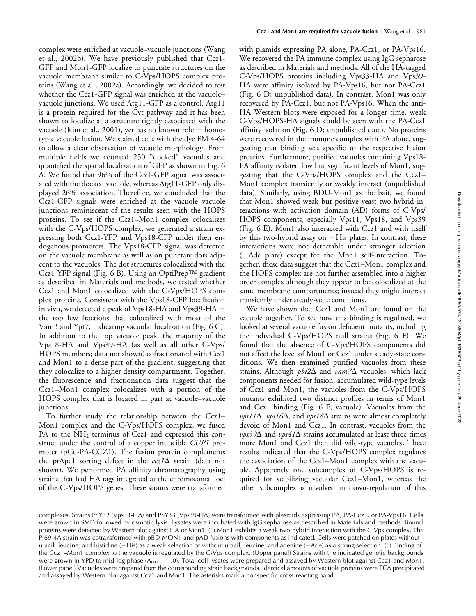complex were enriched at vacuole–vacuole junctions (Wang et al., 2002b). We have previously published that Ccz1- GFP and Mon1-GFP localize to punctate structures on the vacuole membrane similar to C-Vps/HOPS complex proteins (Wang et al., 2002a). Accordingly, we decided to test whether the Ccz1-GFP signal was enriched at the vacuole– vacuole junctions. We used Atg11-GFP as a control. Atg11 is a protein required for the Cvt pathway and it has been shown to localize at a structure tightly associated with the vacuole (Kim et al., 2001), yet has no known role in homotypic vacuole fusion. We stained cells with the dye FM 4-64 to allow a clear observation of vacuole morphology. From multiple fields we counted 250 "docked" vacuoles and quantified the spatial localization of GFP as shown in Fig. 6 A. We found that 96% of the Ccz1-GFP signal was associated with the docked vacuole, whereas Atg11-GFP only displayed 26% association. Therefore, we concluded that the Ccz1-GFP signals were enriched at the vacuole–vacuole junctions reminiscent of the results seen with the HOPS proteins. To see if the Ccz1–Mon1 complex colocalizes with the C-Vps/HOPS complex, we generated a strain expressing both Ccz1-YFP and Vps18-CFP under their endogenous promoters. The Vps18-CFP signal was detected on the vacuole membrane as well as on punctate dots adjacent to the vacuoles. The dot structures colocalized with the Ccz1-YFP signal (Fig. 6 B). Using an OptiPrep™ gradient as described in Materials and methods, we tested whether Ccz1 and Mon1 colocalized with the C-Vps/HOPS complex proteins. Consistent with the Vps18-CFP localization in vivo, we detected a peak of Vps18-HA and Vps39-HA in the top few fractions that colocalized with most of the Vam3 and Ypt7, indicating vacuolar localization (Fig. 6 C). In addition to the top vacuole peak, the majority of the Vps18-HA and Vps39-HA (as well as all other C-Vps/ HOPS members; data not shown) cofractionated with Ccz1 and Mon1 to a dense part of the gradient, suggesting that they colocalize to a higher density compartment. Together, the fluorescence and fractionation data suggest that the Ccz1–Mon1 complex colocalizes with a portion of the HOPS complex that is located in part at vacuole–vacuole junctions.

To further study the relationship between the Ccz1– Mon1 complex and the C-Vps/HOPS complex, we fused PA to the  $NH_2$  terminus of Ccz1 and expressed this construct under the control of a copper inducible *CUP1* promoter (pCu-PA-CCZ1). The fusion protein complements the prApe1 sorting defect in the  $ccz1\Delta$  strain (data not shown). We performed PA affinity chromatography using strains that had HA tags integrated at the chromosomal loci of the C-Vps/HOPS genes. These strains were transformed with plamids expressing PA alone, PA-Ccz1, or PA-Vps16. We recovered the PA immune complex using IgG sepharose as described in Materials and methods. All of the HA-tagged C-Vps/HOPS proteins including Vps33-HA and Vps39- HA were affinity isolated by PA-Vps16, but not PA-Ccz1 (Fig. 6 D; unpublished data). In contrast, Mon1 was only recovered by PA-Ccz1, but not PA-Vps16. When the anti-HA Western blots were exposed for a longer time, weak C-Vps/HOPS-HA signals could be seen with the PA-Ccz1 affinity isolation (Fig. 6 D; unpublished data). No proteins were recovered in the immune complex with PA alone, suggesting that binding was specific to the respective fusion proteins. Furthermore, purified vacuoles containing Vps18- PA affinity isolated low but significant levels of Mon1, suggesting that the C-Vps/HOPS complex and the Ccz1– Mon1 complex transiently or weakly interact (unpublished data). Similarly, using BDU-Mon1 as the bait, we found that Mon1 showed weak but positive yeast two-hybrid interactions with activation domain (AD) forms of C-Vps/ HOPS components, especially Vps11, Vps18, and Vps39 (Fig. 6 E). Mon1 also interacted with Ccz1 and with itself by this two-hybrid assay on  $-H$ is plates. In contrast, these interactions were not detectable under stronger selection (Ade plate) except for the Mon1 self-interaction. Together, these data suggest that the Ccz1–Mon1 complex and the HOPS complex are not further assembled into a higher order complex although they appear to be colocalized at the same membrane compartments; instead they might interact transiently under steady-state conditions.

We have shown that Ccz1 and Mon1 are found on the vacuole together. To see how this binding is regulated, we looked at several vacuole fusion deficient mutants, including the individual C-Vps/HOPS null strains (Fig. 6 F). We found that the absence of C-Vps/HOPS components did not affect the level of Mon1 or Ccz1 under steady-state conditions. We then examined purified vacuoles from these strains. Although  $pbi2\Delta$  and  $vam/2\Delta$  vacuoles, which lack components needed for fusion, accumulated wild-type levels of Ccz1 and Mon1, the vacuoles from the C-Vps/HOPS mutants exhibited two distinct profiles in terms of Mon1 and Ccz1 binding (Fig. 6 F, vacuole). Vacuoles from the  $\nu p s 11\Delta$ ,  $\nu p s 16\Delta$ , and  $\nu p s 18\Delta$  strains were almost completely devoid of Mon1 and Ccz1. In contrast, vacuoles from the  $\nu$ *ps39* $\Delta$  and  $\nu$ *ps41* $\Delta$  strains accumulated at least three times more Mon1 and Ccz1 than did wild-type vacuoles. These results indicated that the C-Vps/HOPS complex regulates the association of the Ccz1–Mon1 complex with the vacuole. Apparently one subcomplex of C-Vps/HOPS is required for stabilizing vacuolar Ccz1–Mon1, whereas the other subcomplex is involved in down-regulation of this

complexes. Strains PSY32 (Vps33-HA) and PSY33 (Vps39-HA) were transformed with plasmids expressing PA, PA-Ccz1, or PA-Vps16. Cells were grown in SMD followed by osmotic lysis. Lysates were incubated with IgG sepharose as described in Materials and methods. Bound proteins were detected by Western blot against HA or Mon1. (E) Mon1 exhibits a weak two-hybrid interaction with the C-Vps complex. The PJ69-4A strain was cotransformed with pBD-MON1 and pAD fusions with components as indicated. Cells were patched on plates without uracil, leucine, and histidine (-His) as a weak selection or without uracil, leucine, and adenine (-Ade) as a strong selection. (F) Binding of the Ccz1–Mon1 complex to the vacuole is regulated by the C-Vps complex. (Upper panel) Strains with the indicated genetic backgrounds were grown in YPD to mid-log phase  $(A_{600} = 1.0)$ . Total cell lysates were prepared and assayed by Western blot against Ccz1 and Mon1. (Lower panel) Vacuoles were prepared from the corresponding strain backgrounds. Identical amounts of vacuole proteins were TCA precipitated and assayed by Western blot against Ccz1 and Mon1. The asterisks mark a nonspecific cross-reacting band.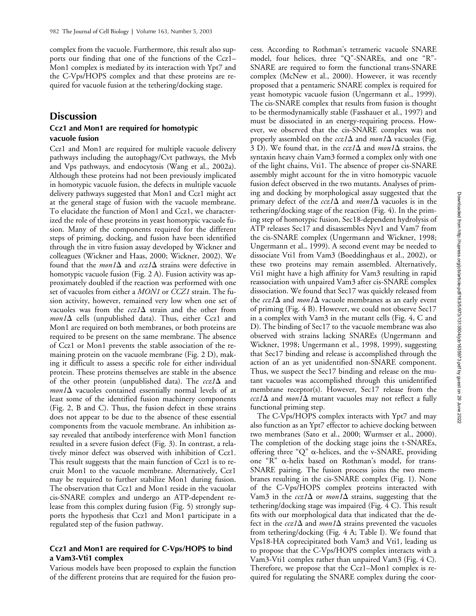complex from the vacuole. Furthermore, this result also supports our finding that one of the functions of the Ccz1– Mon1 complex is mediated by its interaction with Ypt7 and the C-Vps/HOPS complex and that these proteins are required for vacuole fusion at the tethering/docking stage.

## **Discussion**

#### **Ccz1 and Mon1 are required for homotypic vacuole fusion**

Ccz1 and Mon1 are required for multiple vacuole delivery pathways including the autophagy/Cvt pathways, the Mvb and Vps pathways, and endocytosis (Wang et al., 2002a). Although these proteins had not been previously implicated in homotypic vacuole fusion, the defects in multiple vacuole delivery pathways suggested that Mon1 and Ccz1 might act at the general stage of fusion with the vacuole membrane. To elucidate the function of Mon1 and Ccz1, we characterized the role of these proteins in yeast homotypic vacuole fusion. Many of the components required for the different steps of priming, docking, and fusion have been identified through the in vitro fusion assay developed by Wickner and colleagues (Wickner and Haas, 2000; Wickner, 2002). We found that the *mon1* $\Delta$  and  $ccz1\Delta$  strains were defective in homotypic vacuole fusion (Fig. 2 A). Fusion activity was approximately doubled if the reaction was performed with one set of vacuoles from either a *MON1* or *CCZ1* strain. The fusion activity, however, remained very low when one set of vacuoles was from the  $ccz1\Delta$  strain and the other from  $mon1\Delta$  cells (unpublished data). Thus, either Ccz1 and Mon1 are required on both membranes, or both proteins are required to be present on the same membrane. The absence of Ccz1 or Mon1 prevents the stable association of the remaining protein on the vacuole membrane (Fig. 2 D), making it difficult to assess a specific role for either individual protein. These proteins themselves are stable in the absence of the other protein (unpublished data). The  $ccz1\Delta$  and  $mon1\Delta$  vacuoles contained essentially normal levels of at least some of the identified fusion machinery components (Fig. 2, B and C). Thus, the fusion defect in these strains does not appear to be due to the absence of these essential components from the vacuole membrane. An inhibition assay revealed that antibody interference with Mon1 function resulted in a severe fusion defect (Fig. 3). In contrast, a relatively minor defect was observed with inhibition of Ccz1. This result suggests that the main function of Ccz1 is to recruit Mon1 to the vacuole membrane. Alternatively, Ccz1 may be required to further stabilize Mon1 during fusion. The observation that Ccz1 and Mon1 reside in the vacuolar cis-SNARE complex and undergo an ATP-dependent release from this complex during fusion (Fig. 5) strongly supports the hypothesis that Ccz1 and Mon1 participate in a regulated step of the fusion pathway.

#### **Ccz1 and Mon1 are required for C-Vps/HOPS to bind a Vam3-Vti1 complex**

Various models have been proposed to explain the function of the different proteins that are required for the fusion process. According to Rothman's tetrameric vacuole SNARE model, four helices, three "Q"-SNAREs, and one "R"- SNARE are required to form the functional trans-SNARE complex (McNew et al., 2000). However, it was recently proposed that a pentameric SNARE complex is required for yeast homotypic vacuole fusion (Ungermann et al., 1999). The cis-SNARE complex that results from fusion is thought to be thermodynamically stable (Fasshauer et al., 1997) and must be dissociated in an energy-requiring process. However, we observed that the cis-SNARE complex was not properly assembled on the  $ccz1\Delta$  and  $mon1\Delta$  vacuoles (Fig. 3 D). We found that, in the  $ccz1\Delta$  and  $mon1\Delta$  strains, the syntaxin heavy chain Vam3 formed a complex only with one of the light chains, Vti1. The absence of proper cis-SNARE assembly might account for the in vitro homotypic vacuole fusion defect observed in the two mutants. Analyses of priming and docking by morphological assay suggested that the primary defect of the  $ccz1\Delta$  and  $mon1\Delta$  vacuoles is in the tethering/docking stage of the reaction (Fig. 4). In the priming step of homotypic fusion, Sec18-dependent hydrolysis of ATP releases Sec17 and disassembles Nyv1 and Vam7 from the cis-SNARE complex (Ungermann and Wickner, 1998; Ungermann et al., 1999). A second event may be needed to dissociate Vti1 from Vam3 (Boeddinghaus et al., 2002), or these two proteins may remain assembled. Alternatively, Vti1 might have a high affinity for Vam3 resulting in rapid reassociation with unpaired Vam3 after cis-SNARE complex dissociation. We found that Sec17 was quickly released from the  $ccz1\Delta$  and  $mon1\Delta$  vacuole membranes as an early event of priming (Fig. 4 B). However, we could not observe Sec17 in a complex with Vam3 in the mutant cells (Fig. 4, C and D). The binding of Sec17 to the vacuole membrane was also observed with strains lacking SNAREs (Ungermann and Wickner, 1998; Ungermann et al., 1998, 1999), suggesting that Sec17 binding and release is accomplished through the action of an as yet unidentified non-SNARE component. Thus, we suspect the Sec17 binding and release on the mutant vacuoles was accomplished through this unidentified membrane receptor(s). However, Sec17 release from the  $ccz1\Delta$  and *mon1* $\Delta$  mutant vacuoles may not reflect a fully functional priming step.

The C-Vps/HOPS complex interacts with Ypt7 and may also function as an Ypt7 effector to achieve docking between two membranes (Sato et al., 2000; Wurmser et al., 2000). The completion of the docking stage joins the t-SNAREs, offering three " $Q$ "  $\alpha$ -helices, and the v-SNARE, providing one "R"  $\alpha$ -helix based on Rothman's model, for trans-SNARE pairing. The fusion process joins the two membranes resulting in the cis-SNARE complex (Fig. 1). None of the C-Vps/HOPS complex proteins interacted with Vam3 in the  $ccz1\Delta$  or *mon1* $\Delta$  strains, suggesting that the tethering/docking stage was impaired (Fig. 4 C). This result fits with our morphological data that indicated that the defect in the  $ccz1\Delta$  and  $mon1\Delta$  strains prevented the vacuoles from tethering/docking (Fig. 4 A; Table I). We found that Vps18-HA coprecipitated both Vam3 and Vti1, leading us to propose that the C-Vps/HOPS complex interacts with a Vam3-Vti1 complex rather than unpaired Vam3 (Fig. 4 C). Therefore, we propose that the Ccz1–Mon1 complex is required for regulating the SNARE complex during the coor-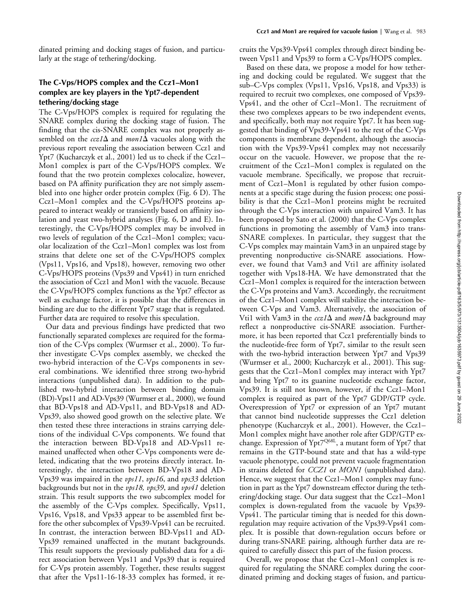dinated priming and docking stages of fusion, and particularly at the stage of tethering/docking.

## **The C-Vps/HOPS complex and the Ccz1–Mon1 complex are key players in the Ypt7-dependent tethering/docking stage**

The C-Vps/HOPS complex is required for regulating the SNARE complex during the docking stage of fusion. The finding that the cis-SNARE complex was not properly assembled on the  $ccz1\Delta$  and  $mon1\Delta$  vacuoles along with the previous report revealing the association between Ccz1 and Ypt7 (Kucharczyk et al., 2001) led us to check if the Ccz1– Mon1 complex is part of the C-Vps/HOPS complex. We found that the two protein complexes colocalize, however, based on PA affinity purification they are not simply assembled into one higher order protein complex (Fig. 6 D). The Ccz1–Mon1 complex and the C-Vps/HOPS proteins appeared to interact weakly or transiently based on affinity isolation and yeast two-hybrid analyses (Fig. 6, D and E). Interestingly, the C-Vps/HOPS complex may be involved in two levels of regulation of the Ccz1–Mon1 complex; vacuolar localization of the Ccz1–Mon1 complex was lost from strains that delete one set of the C-Vps/HOPS complex (Vps11, Vps16, and Vps18), however, removing two other C-Vps/HOPS proteins (Vps39 and Vps41) in turn enriched the association of Ccz1 and Mon1 with the vacuole. Because the C-Vps/HOPS complex functions as the Ypt7 effector as well as exchange factor, it is possible that the differences in binding are due to the different Ypt7 stage that is regulated. Further data are required to resolve this speculation.

Our data and previous findings have predicted that two functionally separated complexes are required for the formation of the C-Vps complex (Wurmser et al., 2000). To further investigate C-Vps complex assembly, we checked the two-hybrid interaction of the C-Vps components in several combinations. We identified three strong two-hybrid interactions (unpublished data). In addition to the published two-hybrid interaction between binding domain (BD)-Vps11 and AD-Vps39 (Wurmser et al., 2000), we found that BD-Vps18 and AD-Vps11, and BD-Vps18 and AD-Vps39, also showed good growth on the selective plate. We then tested these three interactions in strains carrying deletions of the individual C-Vps components. We found that the interaction between BD-Vps18 and AD-Vps11 remained unaffected when other C-Vps components were deleted, indicating that the two proteins directly interact. Interestingly, the interaction between BD-Vps18 and AD-Vps39 was impaired in the *vps11*, *vps16*, and *vps33* deletion backgrounds but not in the *vps18, vps39*, and *vps41* deletion strain. This result supports the two subcomplex model for the assembly of the C-Vps complex. Specifically, Vps11, Vps16, Vps18, and Vps33 appear to be assembled first before the other subcomplex of Vps39-Vps41 can be recruited. In contrast, the interaction between BD-Vps11 and AD-Vps39 remained unaffected in the mutant backgrounds. This result supports the previously published data for a direct association between Vps11 and Vps39 that is required for C-Vps protein assembly. Together, these results suggest that after the Vps11-16-18-33 complex has formed, it recruits the Vps39-Vps41 complex through direct binding between Vps11 and Vps39 to form a C-Vps/HOPS complex.

Based on these data, we propose a model for how tethering and docking could be regulated. We suggest that the sub–C-Vps complex (Vps11, Vps16, Vps18, and Vps33) is required to recruit two complexes, one composed of Vps39- Vps41, and the other of Ccz1–Mon1. The recruitment of these two complexes appears to be two independent events, and specifically, both may not require Ypt7. It has been suggested that binding of Vps39-Vps41 to the rest of the C-Vps components is membrane dependent, although the association with the Vps39-Vps41 complex may not necessarily occur on the vacuole. However, we propose that the recruitment of the Ccz1–Mon1 complex is regulated on the vacuole membrane. Specifically, we propose that recruitment of Ccz1–Mon1 is regulated by other fusion components at a specific stage during the fusion process; one possibility is that the Ccz1–Mon1 proteins might be recruited through the C-Vps interaction with unpaired Vam3. It has been proposed by Sato et al. (2000) that the C-Vps complex functions in promoting the assembly of Vam3 into trans-SNARE complexes. In particular, they suggest that the C-Vps complex may maintain Vam3 in an unpaired stage by preventing nonproductive cis-SNARE associations. However, we found that Vam3 and Vti1 are affinity isolated together with Vps18-HA. We have demonstrated that the Ccz1–Mon1 complex is required for the interaction between the C-Vps proteins and Vam3. Accordingly, the recruitment of the Ccz1–Mon1 complex will stabilize the interaction between C-Vps and Vam3. Alternatively, the association of Vti1 with Vam3 in the  $ccz1\Delta$  and  $mon1\Delta$  background may reflect a nonproductive cis-SNARE association. Furthermore, it has been reported that Ccz1 preferentially binds to the nucleotide-free form of Ypt7, similar to the result seen with the two-hybrid interaction between Ypt7 and Vps39 (Wurmser et al., 2000; Kucharczyk et al., 2001). This suggests that the Ccz1–Mon1 complex may interact with Ypt7 and bring Ypt7 to its guanine nucleotide exchange factor, Vps39. It is still not known, however, if the Ccz1–Mon1 complex is required as part of the Ypt7 GDP/GTP cycle. Overexpression of Ypt7 or expression of an Ypt7 mutant that cannot bind nucleotide suppresses the Ccz1 deletion phenotype (Kucharczyk et al., 2001). However, the Ccz1– Mon1 complex might have another role after GDP/GTP exchange. Expression of Ypt<sup>7Q68L</sup>, a mutant form of Ypt7 that remains in the GTP-bound state and that has a wild-type vacuole phenotype, could not prevent vacuole fragmentation in strains deleted for *CCZ1* or *MON1* (unpublished data). Hence, we suggest that the Ccz1–Mon1 complex may function in part as the Ypt7 downstream effector during the tethering/docking stage. Our data suggest that the Ccz1–Mon1 complex is down-regulated from the vacuole by Vps39- Vps41. The particular timing that is needed for this downregulation may require activation of the Vps39-Vps41 complex. It is possible that down-regulation occurs before or during trans-SNARE pairing, although further data are required to carefully dissect this part of the fusion process.

Overall, we propose that the Ccz1–Mon1 complex is required for regulating the SNARE complex during the coordinated priming and docking stages of fusion, and particu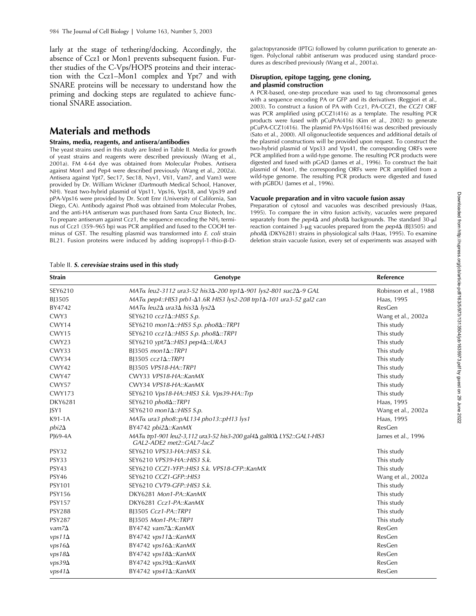larly at the stage of tethering/docking. Accordingly, the absence of Ccz1 or Mon1 prevents subsequent fusion. Further studies of the C-Vps/HOPS proteins and their interaction with the Ccz1–Mon1 complex and Ypt7 and with SNARE proteins will be necessary to understand how the priming and docking steps are regulated to achieve functional SNARE association.

# **Materials and methods**

#### **Strains, media, reagents, and antisera/antibodies**

The yeast strains used in this study are listed in Table II. Media for growth of yeast strains and reagents were described previously (Wang et al., 2001a). FM 4-64 dye was obtained from Molecular Probes. Antisera against Mon1 and Pep4 were described previously (Wang et al., 2002a). Antisera against Ypt7, Sec17, Sec18, Nyv1, Vti1, Vam7, and Vam3 were provided by Dr. William Wickner (Dartmouth Medical School, Hanover, NH). Yeast two-hybrid plasmid of Vps11, Vps16, Vps18, and Vps39 and pPA-Vps16 were provided by Dr. Scott Emr (University of California, San Diego, CA). Antibody against Pho8 was obtained from Molecular Probes, and the anti-HA antiserum was purchased from Santa Cruz Biotech, Inc. To prepare antiserum against Ccz1, the sequence encoding the  $NH<sub>2</sub>$  terminus of Ccz1 (359–965 bp) was PCR amplified and fused to the COOH terminus of GST. The resulting plasmid was transformed into *E. coli* strain BL21. Fusion proteins were induced by adding isopropyl-1-thio- $\beta$ -D-

galactopyranoside (IPTG) followed by column purification to generate antigen. Polyclonal rabbit antiserum was produced using standard procedures as described previously (Wang et al., 2001a).

#### **Disruption, epitope tagging, gene cloning, and plasmid construction**

A PCR-based, one-step procedure was used to tag chromosomal genes with a sequence encoding PA or GFP and its derivatives (Reggiori et al., 2003). To construct a fusion of PA with Ccz1, PA-CCZ1, the *CCZ1* ORF was PCR amplified using pCCZ1(416) as a template. The resulting PCR products were fused with pCuPrA(416) (Kim et al., 2002) to generate pCuPA-CCZ1(416). The plasmid PA-Vps16(416) was described previously (Sato et al., 2000). All oligonucleotide sequences and additional details of the plasmid constructions will be provided upon request. To construct the two-hybrid plasmid of Vps33 and Vps41, the corresponding ORFs were PCR amplified from a wild-type genome. The resulting PCR products were digested and fused with pGAD (James et al., 1996). To construct the bait plasmid of Mon1, the corresponding ORFs were PCR amplified from a wild-type genome. The resulting PCR products were digested and fused with pGBDU (James et al., 1996).

#### **Vacuole preparation and in vitro vacuole fusion assay**

Preparation of cytosol and vacuoles was described previously (Haas, 1995). To compare the in vitro fusion activity, vacuoles were prepared separately from the  $pep4\Delta$  and  $pho8\Delta$  backgrounds. The standard 30- $\mu$ l reaction contained  $3$ -µg vacuoles prepared from the  $pep4\Delta$  (BJ3505) and pho8∆ (DKY6281) strains in physiological salts (Haas, 1995). To examine deletion strain vacuole fusion, every set of experiments was assayed with

Table II. *S. cerevisiae* **strains used in this study**

| <b>Strain</b> | Genotype                                                                                                        | Reference             |
|---------------|-----------------------------------------------------------------------------------------------------------------|-----------------------|
| SEY6210       | MAT <sub>α</sub> leu2-3112 ura3-52 his3Δ-200 trp1Δ-901 lys2-801 suc2Δ-9 GAL                                     | Robinson et al., 1988 |
| BJ3505        | MAT <sub>α</sub> pep4::HIS3 prb1-Δ1.6R HIS3 lys2-208 trp1Δ-101 ura3-52 gal2 can                                 | Haas, 1995            |
| BY4742        | $MAT\alpha$ leu2 $\Delta$ ura3 $\Delta$ his3 $\Delta$ lys2 $\Delta$                                             | ResGen                |
| CWY3          | SEY6210 ccz1Δ:: HIS5 S.p.                                                                                       | Wang et al., 2002a    |
| CWY14         | SEY6210 mon14::HIS5 S.p. pho84::TRP1                                                                            | This study            |
| CWY15         | SEY6210 ccz1 $\Delta$ ::HIS5 S.p. pho8 $\Delta$ ::TRP1                                                          | This study            |
| CWY23         | SEY6210 ypt7∆::HIS3 pep4∆::URA3                                                                                 | This study            |
| CWY33         | BJ3505 mon1 $\Delta$ ::TRP1                                                                                     | This study            |
| CWY34         | BJ3505 $ccz1\Delta$ ::TRP1                                                                                      | This study            |
| CWY42         | BJ3505 VPS18-HA::TRP1                                                                                           | This study            |
| CWY47         | CWY33 VPS18-HA::KanMX                                                                                           | This study            |
| CWY57         | CWY34 VPS18-HA::KanMX                                                                                           | This study            |
| <b>CWY173</b> | SEY6210 Vps18-HA::HIS3 S.k. Vps39-HA::Trp                                                                       | This study            |
| DKY6281       | $SEY6210 pho8\Delta::TRP1$                                                                                      | Haas, 1995            |
| JSY1          | SEY6210 mon1 $\Delta$ ::HIS5 S.p.                                                                               | Wang et al., 2002a    |
| K91-1A        | MATα ura3 pho8::pAL134 pho13::pH13 lys1                                                                         | Haas, 1995            |
| $pbi2\Delta$  | BY4742 pbi2∆::KanMX                                                                                             | ResGen                |
| PJ69-4A       | MAT <sub>α</sub> trp1-901 leu2-3,112 ura3-52 his3-200 gal4Δ gal80Δ LYS2::GAL1-HIS3<br>GAL2-ADE2 met2::GAL7-lacZ | James et al., 1996    |
| PSY32         | SEY6210 VPS33-HA::HIS3 S.k.                                                                                     | This study            |
| PSY33         | SEY6210 VPS39-HA::HIS3 S.k.                                                                                     | This study            |
| PSY43         | SEY6210 CCZ1-YFP::HIS3 S.k. VPS18-CFP::KanMX                                                                    | This study            |
| <b>PSY46</b>  | SEY6210 CCZ1-GFP::HIS3                                                                                          | Wang et al., 2002a    |
| <b>PSY101</b> | SEY6210 CVT9-GFP::HIS3 S.k.                                                                                     | This study            |
| <b>PSY156</b> | DKY6281 Mon1-PA::KanMX                                                                                          | This study            |
| <b>PSY157</b> | DKY6281 Ccz1-PA::KanMX                                                                                          | This study            |
| <b>PSY288</b> | BJ3505 Ccz1-PA::TRP1                                                                                            | This study            |
| <b>PSY287</b> | BJ3505 Mon1-PA::TRP1                                                                                            | This study            |
| $vam/2\Delta$ | BY4742 vam7∆::KanMX                                                                                             | ResGen                |
| $vps11\Delta$ | $BY4742 vps11\Delta::KanMX$                                                                                     | ResGen                |
| $vps16\Delta$ | $BY4742 vps16\Delta::KanMX$                                                                                     | ResGen                |
| $vps18\Delta$ | BY4742 vps184::KanMX                                                                                            | ResGen                |
| $vps39\Delta$ | BY4742 $vps39\Delta::KanMX$                                                                                     | ResGen                |
| $vps41\Delta$ | BY4742 $vps41\Delta::KanMX$                                                                                     | ResGen                |